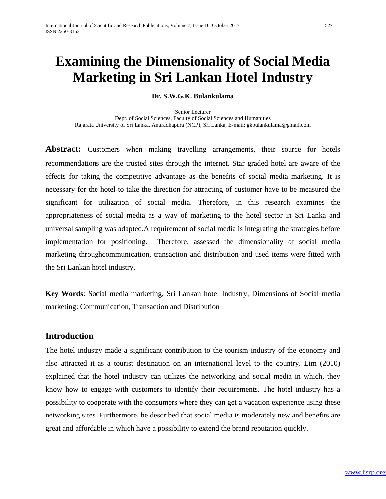# **Examining the Dimensionality of Social Media Marketing in Sri Lankan Hotel Industry**

#### **Dr. S.W.G.K. Bulankulama**

Senior Lecturer Dept. of Social Sciences, Faculty of Social Sciences and Humanities Rajarata University of Sri Lanka, Anuradhapura (NCP), Sri Lanka, E-mail[: gkbulankulama@gmail.com](mailto:gkbulankulama@gmail.com)

**Abstract:** Customers when making travelling arrangements, their source for hotels recommendations are the trusted sites through the internet. Star graded hotel are aware of the effects for taking the competitive advantage as the benefits of social media marketing. It is necessary for the hotel to take the direction for attracting of customer have to be measured the significant for utilization of social media. Therefore, in this research examines the appropriateness of social media as a way of marketing to the hotel sector in Sri Lanka and universal sampling was adapted.A requirement of social media is integrating the strategies before implementation for positioning. Therefore, assessed the dimensionality of social media marketing throughcommunication, transaction and distribution and used items were fitted with the Sri Lankan hotel industry.

**Key Words**: Social media marketing, Sri Lankan hotel Industry, Dimensions of Social media marketing: Communication, Transaction and Distribution

#### **Introduction**

The hotel industry made a significant contribution to the tourism industry of the economy and also attracted it as a tourist destination on an international level to the country. Lim (2010) explained that the hotel industry can utilizes the networking and social media in which, they know how to engage with customers to identify their requirements. The hotel industry has a possibility to cooperate with the consumers where they can get a vacation experience using these networking sites. Furthermore, he described that social media is moderately new and benefits are great and affordable in which have a possibility to extend the brand reputation quickly.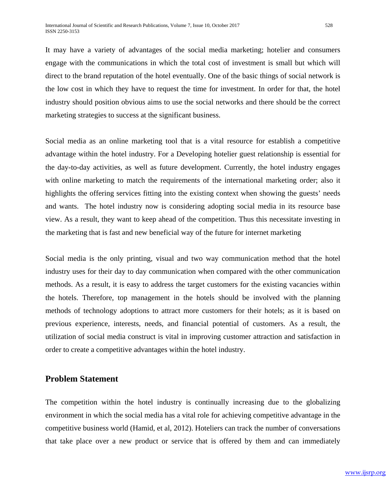It may have a variety of advantages of the social media marketing; hotelier and consumers engage with the communications in which the total cost of investment is small but which will direct to the brand reputation of the hotel eventually. One of the basic things of social network is the low cost in which they have to request the time for investment. In order for that, the hotel industry should position obvious aims to use the social networks and there should be the correct marketing strategies to success at the significant business.

Social media as an online marketing tool that is a vital resource for establish a competitive advantage within the hotel industry. For a Developing hotelier guest relationship is essential for the day-to-day activities, as well as future development. Currently, the hotel industry engages with online marketing to match the requirements of the international marketing order; also it highlights the offering services fitting into the existing context when showing the guests' needs and wants. The hotel industry now is considering adopting social media in its resource base view. As a result, they want to keep ahead of the competition. Thus this necessitate investing in the marketing that is fast and new beneficial way of the future for internet marketing

Social media is the only printing, visual and two way communication method that the hotel industry uses for their day to day communication when compared with the other communication methods. As a result, it is easy to address the target customers for the existing vacancies within the hotels. Therefore, top management in the hotels should be involved with the planning methods of technology adoptions to attract more customers for their hotels; as it is based on previous experience, interests, needs, and financial potential of customers. As a result, the utilization of social media construct is vital in improving customer attraction and satisfaction in order to create a competitive advantages within the hotel industry.

#### **Problem Statement**

The competition within the hotel industry is continually increasing due to the globalizing environment in which the social media has a vital role for achieving competitive advantage in the competitive business world (Hamid, et al, 2012). Hoteliers can track the number of conversations that take place over a new product or service that is offered by them and can immediately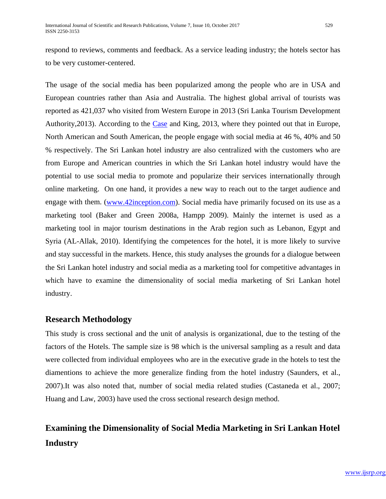respond to reviews, comments and feedback. As a service leading industry; the hotels sector has to be very customer-centered.

The usage of the social media has been popularized among the people who are in USA and European countries rather than Asia and Australia. The highest global arrival of tourists was reported as 421,037 who visited from Western Europe in 2013 (Sri Lanka Tourism Development Authority, 2013). According to the [Case](http://elibrary.ptpl.edu.my:2137/ps/advancedSearch.do?inputFieldName(0)=AU&prodId=AONE&userGroupName=mymsu&method=doSearch&inputFieldValue(0)=%22Carl+J.+Case%22&searchType=AdvancedSearchForm) and King, 2013, where they pointed out that in Europe, North American and South American, the people engage with social media at 46 %, 40% and 50 % respectively. The Sri Lankan hotel industry are also centralized with the customers who are from Europe and American countries in which the Sri Lankan hotel industry would have the potential to use social media to promote and popularize their services internationally through online marketing. On one hand, it provides a new way to reach out to the target audience and engage with them. [\(www.42inception.com\)](http://www.42inception.com/). Social media have primarily focused on its use as a marketing tool (Baker and Green 2008a, Hampp 2009). Mainly the internet is used as a marketing tool in major tourism destinations in the Arab region such as Lebanon, Egypt and Syria (AL-Allak, 2010). Identifying the competences for the hotel, it is more likely to survive and stay successful in the markets. Hence, this study analyses the grounds for a dialogue between the Sri Lankan hotel industry and social media as a marketing tool for competitive advantages in which have to examine the dimensionality of social media marketing of Sri Lankan hotel industry.

#### **Research Methodology**

This study is cross sectional and the unit of analysis is organizational, due to the testing of the factors of the Hotels. The sample size is 98 which is the universal sampling as a result and data were collected from individual employees who are in the executive grade in the hotels to test the diamentions to achieve the more generalize finding from the hotel industry (Saunders, et al., 2007).It was also noted that, number of social media related studies (Castaneda et al., 2007; Huang and Law, 2003) have used the cross sectional research design method.

## **Examining the Dimensionality of Social Media Marketing in Sri Lankan Hotel Industry**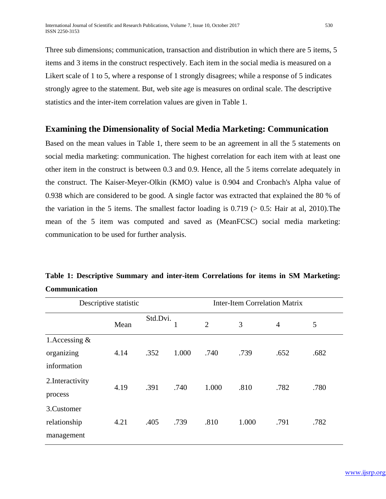Three sub dimensions; communication, transaction and distribution in which there are 5 items, 5 items and 3 items in the construct respectively. Each item in the social media is measured on a Likert scale of 1 to 5, where a response of 1 strongly disagrees; while a response of 5 indicates strongly agree to the statement. But, web site age is measures on ordinal scale. The descriptive statistics and the inter-item correlation values are given in Table 1.

#### **Examining the Dimensionality of Social Media Marketing: Communication**

Based on the mean values in Table 1, there seem to be an agreement in all the 5 statements on social media marketing: communication. The highest correlation for each item with at least one other item in the construct is between 0.3 and 0.9. Hence, all the 5 items correlate adequately in the construct. The Kaiser-Meyer-Olkin (KMO) value is 0.904 and Cronbach's Alpha value of 0.938 which are considered to be good. A single factor was extracted that explained the 80 % of the variation in the 5 items. The smallest factor loading is  $0.719$  ( $> 0.5$ : Hair at al, 2010). The mean of the 5 item was computed and saved as (MeanFCSC) social media marketing: communication to be used for further analysis.

## **Table 1: Descriptive Summary and inter-item Correlations for items in SM Marketing: Communication**

| Descriptive statistic                          |      |          | <b>Inter-Item Correlation Matrix</b> |       |       |                |      |  |  |
|------------------------------------------------|------|----------|--------------------------------------|-------|-------|----------------|------|--|--|
|                                                | Mean | Std.Dvi. | 1                                    | 2     | 3     | $\overline{4}$ | 5    |  |  |
| 1. Accessing $\&$<br>organizing<br>information | 4.14 | .352     | 1.000                                | .740  | .739  | .652           | .682 |  |  |
| 2. Interactivity<br>process                    | 4.19 | .391     | .740                                 | 1.000 | .810  | .782           | .780 |  |  |
| 3. Customer<br>relationship<br>management      | 4.21 | .405     | .739                                 | .810  | 1.000 | .791           | .782 |  |  |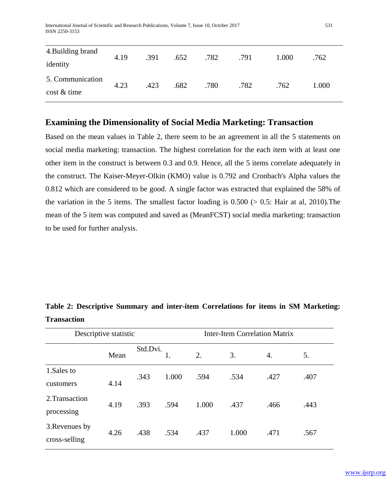International Journal of Scientific and Research Publications, Volume 7, Issue 10, October 2017 531 ISSN 2250-3153

| 4. Building brand<br>identity        | 4.19 | .391 | .652 | .782 | .791 | 1.000 | .762  |
|--------------------------------------|------|------|------|------|------|-------|-------|
| 5. Communication<br>$\cos t \&$ time | 4.23 | .423 | .682 | .780 | .782 | .762  | 1.000 |

#### **Examining the Dimensionality of Social Media Marketing: Transaction**

Based on the mean values in Table 2, there seem to be an agreement in all the 5 statements on social media marketing: transaction. The highest correlation for the each item with at least one other item in the construct is between 0.3 and 0.9. Hence, all the 5 items correlate adequately in the construct. The Kaiser-Meyer-Olkin (KMO) value is 0.792 and Cronbach's Alpha values the 0.812 which are considered to be good. A single factor was extracted that explained the 58% of the variation in the 5 items. The smallest factor loading is  $0.500$  ( $> 0.5$ : Hair at al, 2010). The mean of the 5 item was computed and saved as (MeanFCST) social media marketing: transaction to be used for further analysis.

| Descriptive statistic           |      |          |       | <b>Inter-Item Correlation Matrix</b> |       |      |      |
|---------------------------------|------|----------|-------|--------------------------------------|-------|------|------|
|                                 | Mean | Std.Dvi. |       | 2.                                   | 3.    | 4.   | 5.   |
| 1.Sales to<br>customers         | 4.14 | .343     | 1.000 | .594                                 | .534  | .427 | .407 |
| 2. Transaction<br>processing    | 4.19 | .393     | .594  | 1.000                                | .437  | .466 | .443 |
| 3. Revenues by<br>cross-selling | 4.26 | .438     | .534  | .437                                 | 1.000 | .471 | .567 |

**Table 2: Descriptive Summary and inter-item Correlations for items in SM Marketing: Transaction**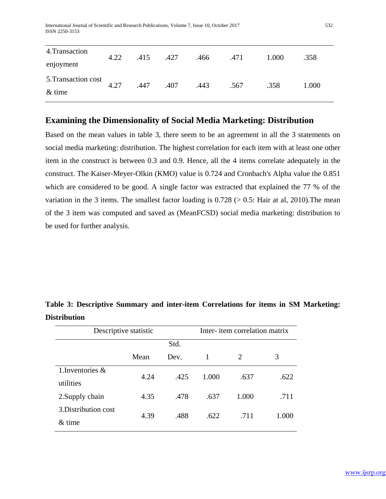International Journal of Scientific and Research Publications, Volume 7, Issue 10, October 2017 532 ISSN 2250-3153

| 4. Transaction      | 4.22 | .415 | .427 | .466 | .471 | 1.000 | .358  |
|---------------------|------|------|------|------|------|-------|-------|
| enjoyment           |      |      |      |      |      |       |       |
| 5. Transaction cost | 4.27 | .447 | .407 | .443 | .567 | .358  | 1.000 |
| $&$ time            |      |      |      |      |      |       |       |

#### **Examining the Dimensionality of Social Media Marketing: Distribution**

Based on the mean values in table 3, there seem to be an agreement in all the 3 statements on social media marketing: distribution. The highest correlation for each item with at least one other item in the construct is between 0.3 and 0.9. Hence, all the 4 items correlate adequately in the construct. The Kaiser-Meyer-Olkin (KMO) value is 0.724 and Cronbach's Alpha value the 0.851 which are considered to be good. A single factor was extracted that explained the 77 % of the variation in the 3 items. The smallest factor loading is  $0.728$  ( $> 0.5$ : Hair at al, 2010). The mean of the 3 item was computed and saved as (MeanFCSD) social media marketing: distribution to be used for further analysis.

| Descriptive statistic |      |          | Inter- item correlation matrix |  |
|-----------------------|------|----------|--------------------------------|--|
|                       | Std. |          |                                |  |
| Mean                  | Dev. | $\sim 1$ |                                |  |

**Table 3: Descriptive Summary and inter-item Correlations for items in SM Marketing: Distribution** 

| utilities            | 4.24 | .425 | 1.000 | .637  | .622  |
|----------------------|------|------|-------|-------|-------|
| 2. Supply chain      | 4.35 | .478 | .637  | 1.000 | .711  |
| 3. Distribution cost | 4.39 | .488 | .622  | .711  | 1.000 |
| $&$ time             |      |      |       |       |       |
|                      |      |      |       |       |       |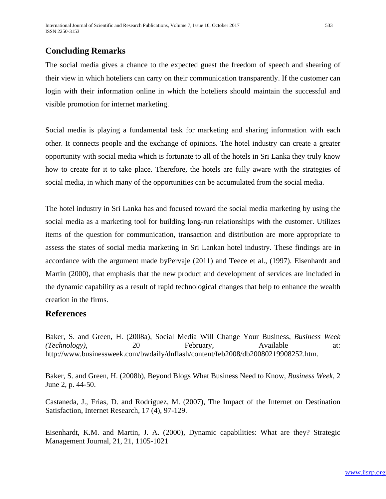### **Concluding Remarks**

The social media gives a chance to the expected guest the freedom of speech and shearing of their view in which hoteliers can carry on their communication transparently. If the customer can login with their information online in which the hoteliers should maintain the successful and visible promotion for internet marketing.

Social media is playing a fundamental task for marketing and sharing information with each other. It connects people and the exchange of opinions. The hotel industry can create a greater opportunity with social media which is fortunate to all of the hotels in Sri Lanka they truly know how to create for it to take place. Therefore, the hotels are fully aware with the strategies of social media, in which many of the opportunities can be accumulated from the social media.

The hotel industry in Sri Lanka has and focused toward the social media marketing by using the social media as a marketing tool for building long-run relationships with the customer. Utilizes items of the question for communication, transaction and distribution are more appropriate to assess the states of social media marketing in Sri Lankan hotel industry. These findings are in accordance with the argument made byPervaje (2011) and Teece et al., (1997). Eisenhardt and Martin (2000), that emphasis that the new product and development of services are included in the dynamic capability as a result of rapid technological changes that help to enhance the wealth creation in the firms.

#### **References**

Baker, S. and Green, H. (2008a), Social Media Will Change Your Business, *Business Week (Technology),* 20 February, Available at: http://www.businessweek.com/bwdaily/dnflash/content/feb2008/db20080219908252.htm.

Baker, S. and Green, H. (2008b), Beyond Blogs What Business Need to Know, *Business Week*, 2 June 2, p. 44-50.

Castaneda, J., Frias, D. and Rodriguez, M. (2007), The Impact of the Internet on Destination Satisfaction, Internet Research*,* 17 (4), 97-129.

Eisenhardt, K.M. and Martin, J. A. (2000), Dynamic capabilities: What are they? Strategic Management Journal, 21, 21, 1105-1021